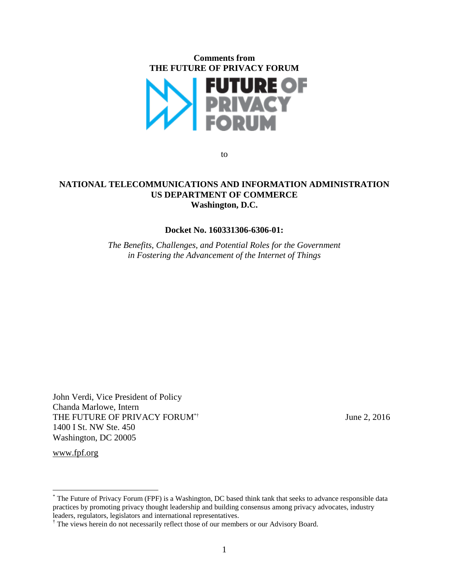

to

#### **NATIONAL TELECOMMUNICATIONS AND INFORMATION ADMINISTRATION US DEPARTMENT OF COMMERCE Washington, D.C.**

#### **Docket No. 160331306-6306-01:**

*The Benefits, Challenges, and Potential Roles for the Government in Fostering the Advancement of the Internet of Things*

John Verdi, Vice President of Policy Chanda Marlowe, Intern THE FUTURE OF PRIVACY FORUM<sup>\*†</sup> June 2, 2016 1400 I St. NW Ste. 450 Washington, DC 20005

www.fpf.org

<sup>\*</sup> The Future of Privacy Forum (FPF) is a Washington, DC based think tank that seeks to advance responsible data practices by promoting privacy thought leadership and building consensus among privacy advocates, industry leaders, regulators, legislators and international representatives.

<sup>&</sup>lt;sup>†</sup> The views herein do not necessarily reflect those of our members or our Advisory Board.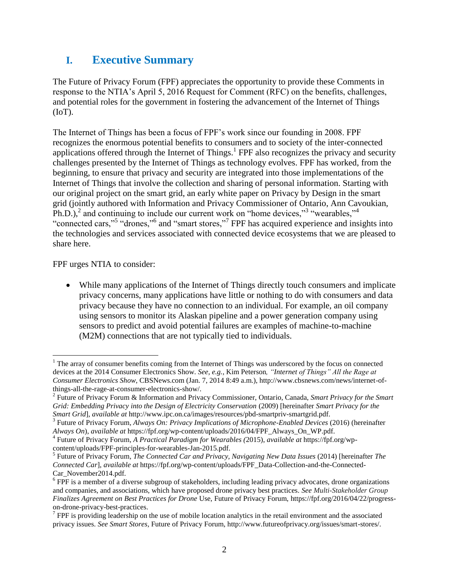# **I. Executive Summary**

The Future of Privacy Forum (FPF) appreciates the opportunity to provide these Comments in response to the NTIA's April 5, 2016 Request for Comment (RFC) on the benefits, challenges, and potential roles for the government in fostering the advancement of the Internet of Things  $(IoT)$ .

The Internet of Things has been a focus of FPF's work since our founding in 2008. FPF recognizes the enormous potential benefits to consumers and to society of the inter-connected applications offered through the Internet of Things.<sup>1</sup> FPF also recognizes the privacy and security challenges presented by the Internet of Things as technology evolves. FPF has worked, from the beginning, to ensure that privacy and security are integrated into those implementations of the Internet of Things that involve the collection and sharing of personal information. Starting with our original project on the smart grid, an early white paper on Privacy by Design in the smart grid (jointly authored with Information and Privacy Commissioner of Ontario, Ann Cavoukian,  $\text{Ph.D.}$ ),<sup>2</sup> and continuing to include our current work on "home devices,"<sup>3</sup> "wearables,"<sup>4</sup> "connected cars,"<sup>5</sup> "drones,"<sup>6</sup> and "smart stores,"<sup>7</sup> FPF has acquired experience and insights into the technologies and services associated with connected device ecosystems that we are pleased to share here.

FPF urges NTIA to consider:

 $\overline{a}$ 

 While many applications of the Internet of Things directly touch consumers and implicate privacy concerns, many applications have little or nothing to do with consumers and data privacy because they have no connection to an individual. For example, an oil company using sensors to monitor its Alaskan pipeline and a power generation company using sensors to predict and avoid potential failures are examples of machine-to-machine (M2M) connections that are not typically tied to individuals.

<sup>&</sup>lt;sup>1</sup> The array of consumer benefits coming from the Internet of Things was underscored by the focus on connected devices at the 2014 Consumer Electronics Show. *See, e.g.*, Kim Peterson*, "Internet of Things" All the Rage at Consumer Electronics Show*, CBSNews.com (Jan. 7, 2014 8:49 a.m.), http://www.cbsnews.com/news/internet-ofthings-all-the-rage-at-consumer-electronics-show/.

<sup>2</sup> Future of Privacy Forum & Information and Privacy Commissioner, Ontario, Canada, *Smart Privacy for the Smart Grid: Embedding Privacy into the Design of Electricity Conservation* (2009) [hereinafter *Smart Privacy for the Smart Grid*], *available at* http://www.ipc.on.ca/images/resources/pbd-smartpriv-smartgrid.pdf.

<sup>&</sup>lt;sup>3</sup> Future of Privacy Forum, Always On: Privacy Implications of Microphone-Enabled Devices (2016) (hereinafter *Always On*), *available at* https://fpf.org/wp-content/uploads/2016/04/FPF\_Always\_On\_WP.pdf.

<sup>4</sup> Future of Privacy Forum*, A Practical Paradigm for Wearables (*2015), *available at* [https://fpf.org/wp](https://fpf.org/wp-content/uploads/FPF-principles-for-wearables-Jan-2015.pdf)[content/uploads/FPF-principles-for-wearables-Jan-2015.pdf.](https://fpf.org/wp-content/uploads/FPF-principles-for-wearables-Jan-2015.pdf)

<sup>5</sup> Future of Privacy Forum*, The Connected Car and Privacy, Navigating New Data Issues* (2014) [hereinafter *The Connected Car*], *available at* https://fpf.org/wp-content/uploads/FPF\_Data-Collection-and-the-Connected-Car\_November2014.pdf.

 $6$  FPF is a member of a diverse subgroup of stakeholders, including leading privacy advocates, drone organizations and companies, and associations, which have proposed drone privacy best practices. *See Multi-Stakeholder Group Finalizes Agreement on Best Practices for Drone* Use, Future of Privacy Forum, [https://fpf.org/2016/04/22/progress-](https://fpf.org/2016/04/22/progress-on-drone-privacy-best-practices)

[on-drone-privacy-best-practices.](https://fpf.org/2016/04/22/progress-on-drone-privacy-best-practices)<br><sup>7</sup> FPF is providing leadership on the use of mobile location analytics in the retail environment and the associated privacy issues. *See Smart Stores*, Future of Privacy Forum, http://www.futureofprivacy.org/issues/smart-stores/.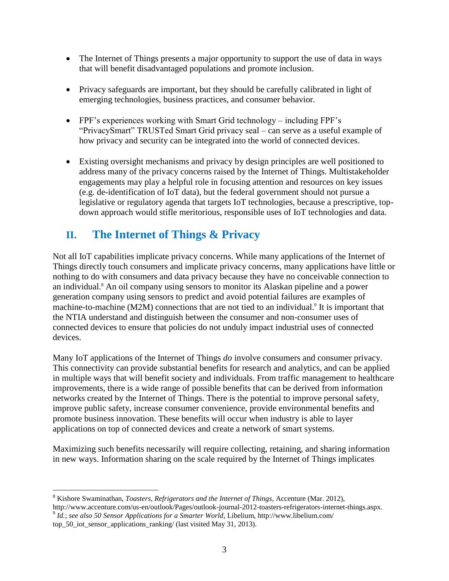- The Internet of Things presents a major opportunity to support the use of data in ways that will benefit disadvantaged populations and promote inclusion.
- Privacy safeguards are important, but they should be carefully calibrated in light of emerging technologies, business practices, and consumer behavior.
- FPF's experiences working with Smart Grid technology including FPF's "PrivacySmart" TRUSTed Smart Grid privacy seal – can serve as a useful example of how privacy and security can be integrated into the world of connected devices.
- Existing oversight mechanisms and privacy by design principles are well positioned to address many of the privacy concerns raised by the Internet of Things. Multistakeholder engagements may play a helpful role in focusing attention and resources on key issues (e.g. de-identification of IoT data), but the federal government should not pursue a legislative or regulatory agenda that targets IoT technologies, because a prescriptive, topdown approach would stifle meritorious, responsible uses of IoT technologies and data.

# **II. The Internet of Things & Privacy**

Not all IoT capabilities implicate privacy concerns. While many applications of the Internet of Things directly touch consumers and implicate privacy concerns, many applications have little or nothing to do with consumers and data privacy because they have no conceivable connection to an individual.<sup>8</sup> An oil company using sensors to monitor its Alaskan pipeline and a power generation company using sensors to predict and avoid potential failures are examples of machine-to-machine (M2M) connections that are not tied to an individual.<sup>9</sup> It is important that the NTIA understand and distinguish between the consumer and non-consumer uses of connected devices to ensure that policies do not unduly impact industrial uses of connected devices.

Many IoT applications of the Internet of Things *do* involve consumers and consumer privacy. This connectivity can provide substantial benefits for research and analytics, and can be applied in multiple ways that will benefit society and individuals. From traffic management to healthcare improvements, there is a wide range of possible benefits that can be derived from information networks created by the Internet of Things. There is the potential to improve personal safety, improve public safety, increase consumer convenience, provide environmental benefits and promote business innovation. These benefits will occur when industry is able to layer applications on top of connected devices and create a network of smart systems.

Maximizing such benefits necessarily will require collecting, retaining, and sharing information in new ways. Information sharing on the scale required by the Internet of Things implicates

 $\overline{a}$ <sup>8</sup> Kishore Swaminathan, *Toasters, Refrigerators and the Internet of Things*, Accenture (Mar. 2012),

http://www.accenture.com/us-en/outlook/Pages/outlook-journal-2012-toasters-refrigerators-internet-things.aspx. 9 *Id.*; *see also 50 Sensor Applications for a Smarter World*, Libelium, http://www.libelium.com/

top\_50\_iot\_sensor\_applications\_ranking/ (last visited May 31, 2013).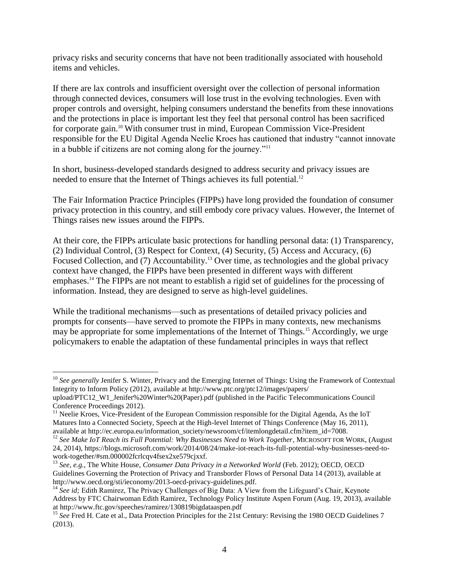privacy risks and security concerns that have not been traditionally associated with household items and vehicles.

If there are lax controls and insufficient oversight over the collection of personal information through connected devices, consumers will lose trust in the evolving technologies. Even with proper controls and oversight, helping consumers understand the benefits from these innovations and the protections in place is important lest they feel that personal control has been sacrificed for corporate gain.<sup>10</sup> With consumer trust in mind, European Commission Vice-President responsible for the EU Digital Agenda Neelie Kroes has cautioned that industry "cannot innovate in a bubble if citizens are not coming along for the journey."<sup>11</sup>

In short, business-developed standards designed to address security and privacy issues are needed to ensure that the Internet of Things achieves its full potential.<sup>12</sup>

The Fair Information Practice Principles (FIPPs) have long provided the foundation of consumer privacy protection in this country, and still embody core privacy values. However, the Internet of Things raises new issues around the FIPPs.

At their core, the FIPPs articulate basic protections for handling personal data: (1) Transparency, (2) Individual Control, (3) Respect for Context, (4) Security, (5) Access and Accuracy, (6) Focused Collection, and (7) Accountability.<sup>13</sup> Over time, as technologies and the global privacy context have changed, the FIPPs have been presented in different ways with different emphases.<sup>14</sup> The FIPPs are not meant to establish a rigid set of guidelines for the processing of information. Instead, they are designed to serve as high-level guidelines.

While the traditional mechanisms—such as presentations of detailed privacy policies and prompts for consents—have served to promote the FIPPs in many contexts, new mechanisms may be appropriate for some implementations of the Internet of Things.<sup>15</sup> Accordingly, we urge policymakers to enable the adaptation of these fundamental principles in ways that reflect

<sup>&</sup>lt;sup>10</sup> See generally Jenifer S. Winter, Privacy and the Emerging Internet of Things: Using the Framework of Contextual Integrity to Inform Policy (2012), available at http://www.ptc.org/ptc12/images/papers/

upload/PTC12\_W1\_Jenifer%20Winter%20(Paper).pdf (published in the Pacific Telecommunications Council Conference Proceedings 2012).

<sup>&</sup>lt;sup>11</sup> Neelie Kroes, Vice-President of the European Commission responsible for the Digital Agenda, As the IoT Matures Into a Connected Society, Speech at the High-level Internet of Things Conference (May 16, 2011), available at http://ec.europa.eu/information\_society/newsroom/cf/itemlongdetail.cfm?item\_id=7008.

<sup>&</sup>lt;sup>12</sup> See Make IoT Reach its Full Potential: Why Businesses Need to Work Together, MICROSOFT FOR WORK, (August 24, 2014), https://blogs.microsoft.com/work/2014/08/24/make-iot-reach-its-full-potential-why-businesses-need-towork-together/#sm.000002fcrlcqv4fsex2xe579cjxxf.

<sup>13</sup> *See*, *e.g.*, The White House, *Consumer Data Privacy in a Networked World* (Feb. 2012); OECD, OECD Guidelines Governing the Protection of Privacy and Transborder Flows of Personal Data 14 (2013), available at http://www.oecd.org/sti/ieconomy/2013-oecd-privacy-guidelines.pdf.

<sup>&</sup>lt;sup>14</sup> See id; Edith Ramirez, The Privacy Challenges of Big Data: A View from the Lifeguard's Chair, Keynote Address by FTC Chairwoman Edith Ramirez, Technology Policy Institute Aspen Forum (Aug. 19, 2013), available at http://www.ftc.gov/speeches/ramirez/130819bigdataaspen.pdf

<sup>&</sup>lt;sup>15</sup> See Fred H. Cate et al., Data Protection Principles for the 21st Century: Revising the 1980 OECD Guidelines 7 (2013).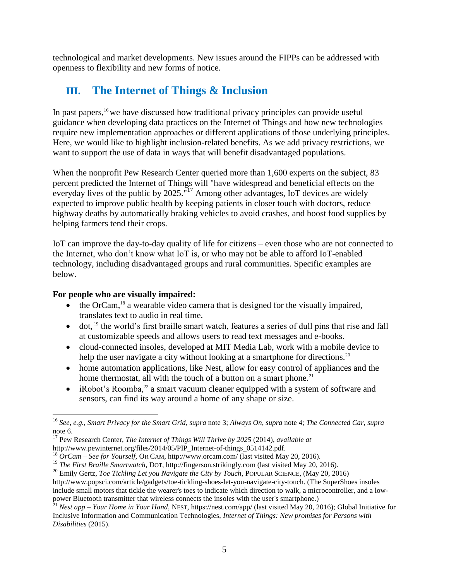technological and market developments. New issues around the FIPPs can be addressed with openness to flexibility and new forms of notice.

# **III. The Internet of Things & Inclusion**

In past papers,<sup>16</sup> we have discussed how traditional privacy principles can provide useful guidance when developing data practices on the Internet of Things and how new technologies require new implementation approaches or different applications of those underlying principles. Here, we would like to highlight inclusion-related benefits. As we add privacy restrictions, we want to support the use of data in ways that will benefit disadvantaged populations.

When the nonprofit Pew Research Center queried more than 1,600 experts on the subject, 83 percent predicted the Internet of Things will "have widespread and beneficial effects on the everyday lives of the public by  $2025.^{17}$  Among other advantages, IoT devices are widely expected to improve public health by keeping patients in closer touch with doctors, reduce highway deaths by automatically braking vehicles to avoid crashes, and boost food supplies by helping farmers tend their crops.

IoT can improve the day-to-day quality of life for citizens – even those who are not connected to the Internet, who don't know what IoT is, or who may not be able to afford IoT-enabled technology, including disadvantaged groups and rural communities. Specific examples are below.

### **For people who are visually impaired:**

- $\bullet$  the OrCam,<sup>18</sup> a wearable video camera that is designed for the visually impaired, translates text to audio in real time.
- $\bullet$  dot, <sup>19</sup> the world's first braille smart watch, features a series of dull pins that rise and fall at customizable speeds and allows users to read text messages and e-books.
- cloud-connected insoles, developed at MIT Media Lab, work with a mobile device to help the user navigate a city without looking at a smartphone for directions.<sup>20</sup>
- home automation applications, like Nest, allow for easy control of appliances and the home thermostat, all with the touch of a button on a smart phone.<sup>21</sup>
- iRobot's Roomba,<sup>22</sup> a smart vacuum cleaner equipped with a system of software and sensors, can find its way around a home of any shape or size.

<sup>16</sup> *See*, *e.g.*, *Smart Privacy for the Smart Grid*, *supra* note 3; *Always On*, *supra* note 4; *The Connected Car*, *supra*  note 6.

<sup>17</sup> Pew Research Center, *The Internet of Things Will Thrive by 2025* (2014), *available at* http://www.pewinternet.org/files/2014/05/PIP\_Internet-of-things\_0514142.pdf.

<sup>18</sup> *OrCam – See for Yourself,* OR CAM, http://www.orcam.com/ (last visited May 20, 2016).

<sup>&</sup>lt;sup>19</sup> *The First Braille Smartwatch*, DOT, [http://fingerson.strikingly.com](http://fingerson.strikingly.com/) (last visited May 20, 2016).

<sup>20</sup> Emily Gertz, *Toe Tickling Let you Navigate the City by Touch*, POPULAR SCIENCE, (May 20, 2016) [http://www.popsci.com/article/gadgets/toe-tickling-shoes-let-you-navigate-city-touch.](http://www.popsci.com/article/gadgets/toe-tickling-shoes-let-you-navigate-city-touch) (The SuperShoes insoles include small motors that tickle the wearer's toes to indicate which direction to walk, a microcontroller, and a lowpower Bluetooth transmitter that wireless connects the insoles with the user's smartphone.)

<sup>21</sup> *Nest app – Your Home in Your Hand*, NEST[, https://nest.com/app/](https://nest.com/app/) (last visited May 20, 2016); Global Initiative for Inclusive Information and Communication Technologies, *Internet of Things: New promises for Persons with Disabilities* (2015).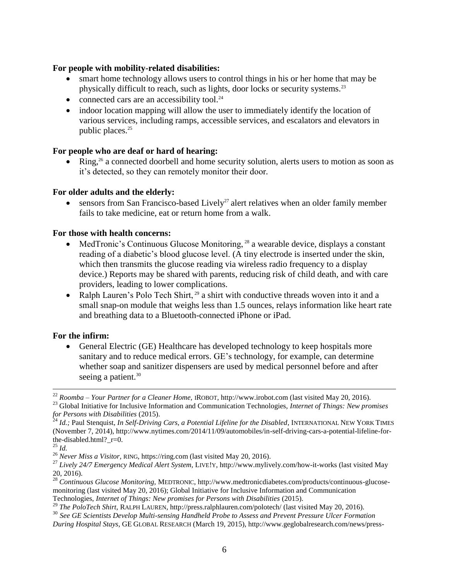#### **For people with mobility-related disabilities:**

- smart home technology allows users to control things in his or her home that may be physically difficult to reach, such as lights, door locks or security systems.<sup>23</sup>
- connected cars are an accessibility tool. $^{24}$
- indoor location mapping will allow the user to immediately identify the location of various services, including ramps, accessible services, and escalators and elevators in public places.<sup>25</sup>

### **For people who are deaf or hard of hearing:**

Ring,<sup>26</sup> a connected doorbell and home security solution, alerts users to motion as soon as it's detected, so they can remotely monitor their door*.* 

### **For older adults and the elderly:**

 $\bullet$  sensors from San Francisco-based Lively<sup>27</sup> alert relatives when an older family member fails to take medicine, eat or return home from a walk.

#### **For those with health concerns:**

- MedTronic's Continuous Glucose Monitoring, <sup>28</sup> a wearable device, displays a constant reading of a diabetic's blood glucose level. (A tiny electrode is inserted under the skin, which then transmits the glucose reading via wireless radio frequency to a display device.) Reports may be shared with parents, reducing risk of child death, and with care providers, leading to lower complications.
- Ralph Lauren's Polo Tech Shirt,  $29$  a shirt with conductive threads woven into it and a small snap-on module that weighs less than 1.5 ounces, relays information like heart rate and breathing data to a Bluetooth-connected iPhone or iPad.

### **For the infirm:**

 General Electric (GE) Healthcare has developed technology to keep hospitals more sanitary and to reduce medical errors. GE's technology, for example, can determine whether soap and sanitizer dispensers are used by medical personnel before and after seeing a patient.<sup>30</sup>

<sup>22</sup> *Roomba – Your Partner for a Cleaner Home,* IROBOT, [http://www.irobot.com](http://www.irobot.com/) (last visited May 20, 2016).

<sup>23</sup> Global Initiative for Inclusive Information and Communication Technologies, *Internet of Things: New promises for Persons with Disabilities* (2015).

<sup>24</sup> *Id.;* Paul Stenquist, *In Self-Driving Cars, a Potential Lifeline for the Disabled*, INTERNATIONAL NEW YORK TIMES (November 7, 2014), http://www.nytimes.com/2014/11/09/automobiles/in-self-driving-cars-a-potential-lifeline-forthe-disabled.html? r=0.

<sup>25</sup> *Id.*

<sup>26</sup> *Never Miss a Visitor,* RING, https://ring.com (last visited May 20, 2016).

<sup>27</sup> *Lively 24/7 Emergency Medical Alert System,* LIVE!Y, http://www.mylively.com/how-it-works (last visited May 20, 2016).

<sup>28</sup> *Continuous Glucose Monitoring,* MEDTRONIC, http://www.medtronicdiabetes.com/products/continuous-glucosemonitoring (last visited May 20, 2016); Global Initiative for Inclusive Information and Communication Technologies, *Internet of Things: New promises for Persons with Disabilities* (2015).

<sup>&</sup>lt;sup>29</sup> The PoloTech Shirt, RALPH LAUREN,<http://press.ralphlauren.com/polotech/> (last visited May 20, 2016).

<sup>30</sup> *See GE Scientists Develop Multi-sensing Handheld Probe to Assess and Prevent Pressure Ulcer Formation During Hospital Stays*, GE GLOBAL RESEARCH (March 19, 2015), http://www.geglobalresearch.com/news/press-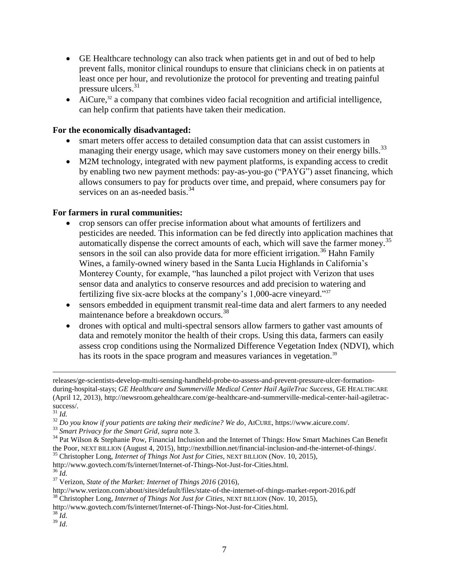- GE Healthcare technology can also track when patients get in and out of bed to help prevent falls, monitor clinical roundups to ensure that clinicians check in on patients at least once per hour, and revolutionize the protocol for preventing and treating painful pressure ulcers.<sup>31</sup>
- [AiCure,](https://www.aicure.com/)<sup>32</sup> a company that combines video facial recognition and artificial intelligence, can help confirm that patients have taken their medication.

#### **For the economically disadvantaged:**

- smart meters offer access to detailed consumption data that can assist customers in managing their energy usage, which may save customers money on their energy bills.<sup>33</sup>
- M2M technology, integrated with new payment platforms, is expanding access to credit by enabling two new payment methods: pay-as-you-go ("PAYG") asset financing, which allows consumers to pay for products over time, and prepaid, where consumers pay for services on an as-needed basis.<sup>34</sup>

#### **For farmers in rural communities:**

- crop sensors can offer precise information about what amounts of fertilizers and pesticides are needed. This information can be fed directly into application machines that automatically dispense the correct amounts of each, which will save the farmer money.<sup>35</sup> sensors in the soil can also provide data for more efficient irrigation.<sup>36</sup> Hahn Family Wines, a family-owned winery based in the Santa Lucia Highlands in California's Monterey County, for example, "has launched a pilot project with Verizon that uses sensor data and analytics to conserve resources and add precision to watering and fertilizing five six-acre blocks at the company's 1,000-acre vineyard."<sup>37</sup>
- sensors embedded in equipment transmit real-time data and alert farmers to any needed maintenance before a breakdown occurs.<sup>38</sup>
- drones with optical and multi-spectral sensors allow farmers to gather vast amounts of data and remotely monitor the health of their crops. Using this data, farmers can easily assess crop conditions using the Normalized Difference Vegetation Index (NDVI), which has its roots in the space program and measures variances in vegetation.<sup>39</sup>

 $\overline{a}$ 

 $^{36}$   $\bar{I}$ *d*.

releases/ge-scientists-develop-multi-sensing-handheld-probe-to-assess-and-prevent-pressure-ulcer-formationduring-hospital-stays; *GE Healthcare and Summerville Medical Center Hail AgileTrac Success*, GE HEALTHCARE (April 12, 2013), http://newsroom.gehealthcare.com/ge-healthcare-and-summerville-medical-center-hail-agiletracsuccess/.

<sup>31</sup> *Id.*

<sup>32</sup> *Do you know if your patients are taking their medicine? We do*, AICURE, https://www.aicure.com/.

<sup>33</sup> *Smart Privacy for the Smart Grid*, *supra* note 3.

<sup>34</sup> Pat Wilson & Stephanie Pow, Financial Inclusion and the Internet of Things: How Smart Machines Can Benefit the Poor, NEXT BILLION (August 4, 2015), http://nextbillion.net/financial-inclusion-and-the-internet-of-things/. <sup>35</sup> Christopher Long, *Internet of Things Not Just for Cities*, NEXT BILLION (Nov. 10, 2015),

[http://www.govtech.com/fs/internet/Internet-of-Things-Not-Just-for-Cities.html.](http://www.govtech.com/fs/internet/Internet-of-Things-Not-Just-for-Cities.html)

<sup>37</sup> Verizon, *State of the Market: Internet of Things 2016* (2016),

http://www.verizon.com/about/sites/default/files/state-of-the-internet-of-things-market-report-2016.pdf

<sup>38</sup> Christopher Long, *Internet of Things Not Just for Cities*, NEXT BILLION (Nov. 10, 2015),

[http://www.govtech.com/fs/internet/Internet-of-Things-Not-Just-for-Cities.html.](http://www.govtech.com/fs/internet/Internet-of-Things-Not-Just-for-Cities.html)

<sup>38</sup> *Id.*

<sup>39</sup> *Id*.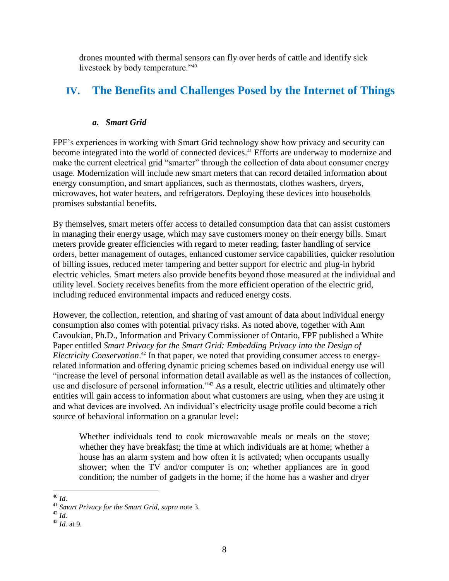drones mounted with thermal sensors can fly over herds of cattle and identify sick livestock by body temperature."<sup>40</sup>

# **IV. The Benefits and Challenges Posed by the Internet of Things**

#### *a. Smart Grid*

FPF's experiences in working with Smart Grid technology show how privacy and security can become integrated into the world of connected devices.<sup>41</sup> Efforts are underway to modernize and make the current electrical grid "smarter" through the collection of data about consumer energy usage. Modernization will include new smart meters that can record detailed information about energy consumption, and smart appliances, such as thermostats, clothes washers, dryers, microwaves, hot water heaters, and refrigerators. Deploying these devices into households promises substantial benefits.

By themselves, smart meters offer access to detailed consumption data that can assist customers in managing their energy usage, which may save customers money on their energy bills. Smart meters provide greater efficiencies with regard to meter reading, faster handling of service orders, better management of outages, enhanced customer service capabilities, quicker resolution of billing issues, reduced meter tampering and better support for electric and plug-in hybrid electric vehicles. Smart meters also provide benefits beyond those measured at the individual and utility level. Society receives benefits from the more efficient operation of the electric grid, including reduced environmental impacts and reduced energy costs.

However, the collection, retention, and sharing of vast amount of data about individual energy consumption also comes with potential privacy risks. As noted above, together with Ann Cavoukian, Ph.D., Information and Privacy Commissioner of Ontario, FPF published a White Paper entitled *Smart Privacy for the Smart Grid: Embedding Privacy into the Design of Electricity Conservation*. <sup>42</sup> In that paper, we noted that providing consumer access to energyrelated information and offering dynamic pricing schemes based on individual energy use will "increase the level of personal information detail available as well as the instances of collection, use and disclosure of personal information."<sup>43</sup> As a result, electric utilities and ultimately other entities will gain access to information about what customers are using, when they are using it and what devices are involved. An individual's electricity usage profile could become a rich source of behavioral information on a granular level:

Whether individuals tend to cook microwavable meals or meals on the stove; whether they have breakfast; the time at which individuals are at home; whether a house has an alarm system and how often it is activated; when occupants usually shower; when the TV and/or computer is on; whether appliances are in good condition; the number of gadgets in the home; if the home has a washer and dryer

 $\overline{a}$ <sup>40</sup> *Id.*

<sup>41</sup> *Smart Privacy for the Smart Grid*, *supra* note 3.

<sup>42</sup> *Id.*

<sup>43</sup> *Id.* at 9.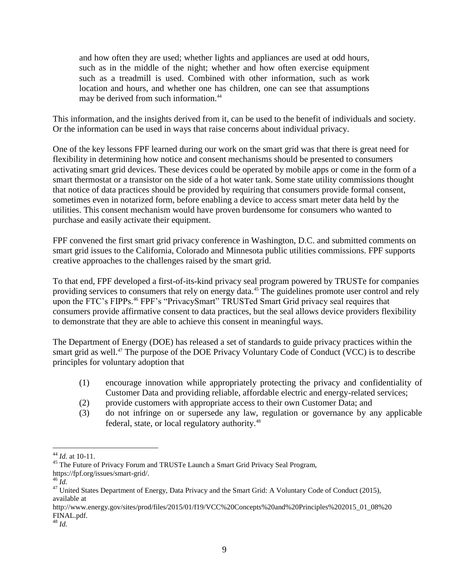and how often they are used; whether lights and appliances are used at odd hours, such as in the middle of the night; whether and how often exercise equipment such as a treadmill is used. Combined with other information, such as work location and hours, and whether one has children, one can see that assumptions may be derived from such information.<sup>44</sup>

This information, and the insights derived from it, can be used to the benefit of individuals and society. Or the information can be used in ways that raise concerns about individual privacy.

One of the key lessons FPF learned during our work on the smart grid was that there is great need for flexibility in determining how notice and consent mechanisms should be presented to consumers activating smart grid devices. These devices could be operated by mobile apps or come in the form of a smart thermostat or a transistor on the side of a hot water tank. Some state utility commissions thought that notice of data practices should be provided by requiring that consumers provide formal consent, sometimes even in notarized form, before enabling a device to access smart meter data held by the utilities. This consent mechanism would have proven burdensome for consumers who wanted to purchase and easily activate their equipment.

FPF convened the first smart grid privacy conference in Washington, D.C. and submitted comments on smart grid issues to the California, Colorado and Minnesota public utilities commissions. FPF supports creative approaches to the challenges raised by the smart grid.

To that end, FPF developed a first-of-its-kind privacy seal program powered by TRUSTe for companies providing services to consumers that rely on energy data.<sup>45</sup> The guidelines promote user control and rely upon the FTC's FIPPs.<sup>46</sup> FPF's "PrivacySmart" TRUSTed Smart Grid privacy seal requires that consumers provide affirmative consent to data practices, but the seal allows device providers flexibility to demonstrate that they are able to achieve this consent in meaningful ways.

The Department of Energy (DOE) has released a set of standards to guide privacy practices within the smart grid as well.<sup>47</sup> The purpose of the DOE Privacy Voluntary Code of Conduct (VCC) is to describe principles for voluntary adoption that

- (1) encourage innovation while appropriately protecting the privacy and confidentiality of Customer Data and providing reliable, affordable electric and energy-related services;
- (2) provide customers with appropriate access to their own Customer Data; and
- (3) do not infringe on or supersede any law, regulation or governance by any applicable federal, state, or local regulatory authority.<sup>48</sup>

<sup>45</sup> The Future of Privacy Forum and TRUSTe Launch a Smart Grid Privacy Seal Program,

 $\overline{a}$ <sup>44</sup> *Id.* at 10-11.

[https://fpf.org/issues/smart-grid/.](https://fpf.org/issues/smart-grid/)

<sup>46</sup> *Id.*

<sup>&</sup>lt;sup>47</sup> United States Department of Energy, Data Privacy and the Smart Grid: A Voluntary Code of Conduct (2015), available at

[http://www.energy.gov/sites/prod/files/2015/01/f19/VCC%20Concepts%20and%20Principles%202015\\_01\\_08%20](http://www.energy.gov/sites/prod/files/2015/01/f19/VCC%20Concepts%20and%20Principles%202015_01_08%20FINAL.pdf) [FINAL.pdf.](http://www.energy.gov/sites/prod/files/2015/01/f19/VCC%20Concepts%20and%20Principles%202015_01_08%20FINAL.pdf) 

<sup>48</sup> *Id.*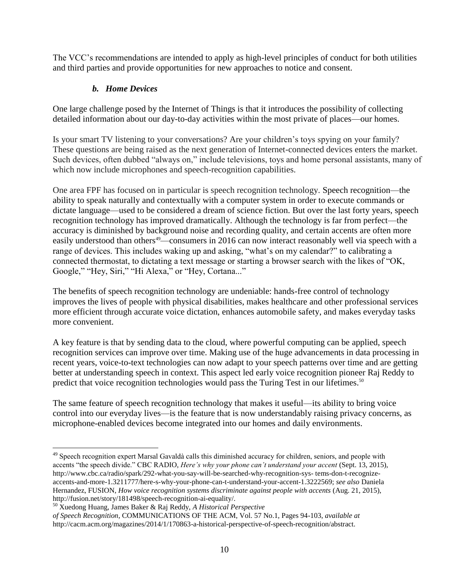The VCC's recommendations are intended to apply as high-level principles of conduct for both utilities and third parties and provide opportunities for new approaches to notice and consent.

# *b. Home Devices*

One large challenge posed by the Internet of Things is that it introduces the possibility of collecting detailed information about our day-to-day activities within the most private of places—our homes.

Is your smart TV listening to your conversations? Are your children's toys spying on your family? These questions are being raised as the next generation of Internet-connected devices enters the market. Such devices, often dubbed "always on," include televisions, toys and home personal assistants, many of which now include microphones and speech-recognition capabilities.

One area FPF has focused on in particular is speech recognition technology. Speech recognition—the ability to speak naturally and contextually with a computer system in order to execute commands or dictate language—used to be considered a dream of science fiction. But over the last forty years, speech recognition technology has improved dramatically. Although the technology is far from perfect—the accuracy is diminished by background noise and recording quality, and certain accents are often more easily understood than others<sup>49</sup>—consumers in 2016 can now interact reasonably well via speech with a range of devices. This includes waking up and asking, "what's on my calendar?" to calibrating a connected thermostat, to dictating a text message or starting a browser search with the likes of "OK, Google," "Hey, Siri," "Hi Alexa," or "Hey, Cortana..."

The benefits of speech recognition technology are undeniable: hands-free control of technology improves the lives of people with physical disabilities, makes healthcare and other professional services more efficient through accurate voice dictation, enhances automobile safety, and makes everyday tasks more convenient.

A key feature is that by sending data to the cloud, where powerful computing can be applied, speech recognition services can improve over time. Making use of the huge advancements in data processing in recent years, voice-to-text technologies can now adapt to your speech patterns over time and are getting better at understanding speech in context. This aspect led early voice recognition pioneer Raj Reddy to predict that voice recognition technologies would pass the Turing Test in our lifetimes.<sup>50</sup>

The same feature of speech recognition technology that makes it useful—its ability to bring voice control into our everyday lives—is the feature that is now understandably raising privacy concerns, as microphone-enabled devices become integrated into our homes and daily environments.

 $\overline{a}$  $49$  Speech recognition expert Marsal Gavaldà calls this diminished accuracy for children, seniors, and people with accents ―the speech divide.‖ CBC RADIO, *Here's why your phone can't understand your accent* (Sept. 13, 2015), http://www.cbc.ca/radio/spark/292-what-you-say-will-be-searched-why-recognition-sys- tems-don-t-recognizeaccents-and-more-1.3211777/here-s-why-your-phone-can-t-understand-your-accent-1.3222569; *see also* Daniela Hernandez, FUSION, *How voice recognition systems discriminate against people with accents* (Aug. 21, 2015), http://fusion.net/story/181498/speech-recognition-ai-equality/.

<sup>50</sup> Xuedong Huang, James Baker & Raj Reddy, *A Historical Perspective*

*of Speech Recognition*, COMMUNICATIONS OF THE ACM, Vol. 57 No.1, Pages 94-103, *available at* http://cacm.acm.org/magazines/2014/1/170863-a-historical-perspective-of-speech-recognition/abstract.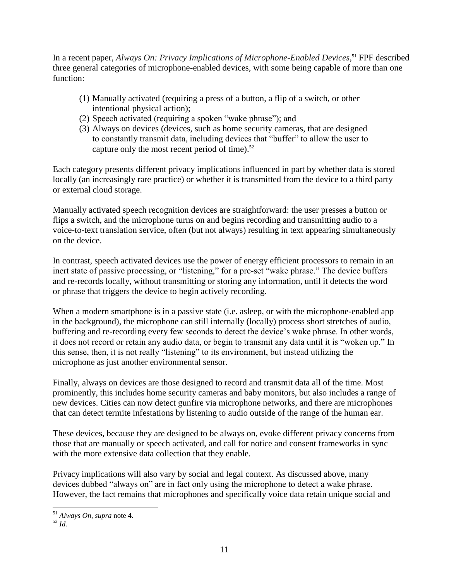In a recent paper, *Always On: Privacy Implications of Microphone-Enabled Devices*, <sup>51</sup> FPF described three general categories of microphone-enabled devices, with some being capable of more than one function:

- (1) Manually activated (requiring a press of a button, a flip of a switch, or other intentional physical action);
- $(2)$  Speech activated (requiring a spoken "wake phrase"); and
- (3) Always on devices (devices, such as home security cameras, that are designed to constantly transmit data, including devices that "buffer" to allow the user to capture only the most recent period of time).<sup>52</sup>

Each category presents different privacy implications influenced in part by whether data is stored locally (an increasingly rare practice) or whether it is transmitted from the device to a third party or external cloud storage.

Manually activated speech recognition devices are straightforward: the user presses a button or flips a switch, and the microphone turns on and begins recording and transmitting audio to a voice-to-text translation service, often (but not always) resulting in text appearing simultaneously on the device.

In contrast, speech activated devices use the power of energy efficient processors to remain in an inert state of passive processing, or "listening," for a pre-set "wake phrase." The device buffers and re-records locally, without transmitting or storing any information, until it detects the word or phrase that triggers the device to begin actively recording.

When a modern smartphone is in a passive state (i.e. asleep, or with the microphone-enabled app in the background), the microphone can still internally (locally) process short stretches of audio, buffering and re-recording every few seconds to detect the device's wake phrase. In other words, it does not record or retain any audio data, or begin to transmit any data until it is "woken up." In this sense, then, it is not really "listening" to its environment, but instead utilizing the microphone as just another environmental sensor.

Finally, always on devices are those designed to record and transmit data all of the time. Most prominently, this includes home security cameras and baby monitors, but also includes a range of new devices. Cities can now detect gunfire via microphone networks, and there are microphones that can detect termite infestations by listening to audio outside of the range of the human ear.

These devices, because they are designed to be always on, evoke different privacy concerns from those that are manually or speech activated, and call for notice and consent frameworks in sync with the more extensive data collection that they enable.

Privacy implications will also vary by social and legal context. As discussed above, many devices dubbed "always on" are in fact only using the microphone to detect a wake phrase. However, the fact remains that microphones and specifically voice data retain unique social and

<sup>51</sup> *Always On*, *supra* note 4.

 $\frac{52}{1}$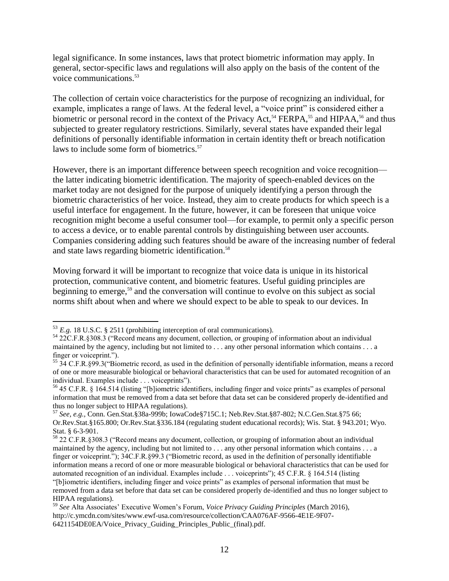legal significance. In some instances, laws that protect biometric information may apply. In general, sector-specific laws and regulations will also apply on the basis of the content of the voice communications.<sup>53</sup>

The collection of certain voice characteristics for the purpose of recognizing an individual, for example, implicates a range of laws. At the federal level, a "voice print" is considered either a biometric or personal record in the context of the Privacy Act,<sup>54</sup> FERPA,<sup>55</sup> and HIPAA,<sup>56</sup> and thus subjected to greater regulatory restrictions. Similarly, several states have expanded their legal definitions of personally identifiable information in certain identity theft or breach notification laws to include some form of biometrics.<sup>57</sup>

However, there is an important difference between speech recognition and voice recognition the latter indicating biometric identification. The majority of speech-enabled devices on the market today are not designed for the purpose of uniquely identifying a person through the biometric characteristics of her voice. Instead, they aim to create products for which speech is a useful interface for engagement. In the future, however, it can be foreseen that unique voice recognition might become a useful consumer tool—for example, to permit only a specific person to access a device, or to enable parental controls by distinguishing between user accounts. Companies considering adding such features should be aware of the increasing number of federal and state laws regarding biometric identification.<sup>58</sup>

Moving forward it will be important to recognize that voice data is unique in its historical protection, communicative content, and biometric features. Useful guiding principles are beginning to emerge, <sup>59</sup> and the conversation will continue to evolve on this subject as social norms shift about when and where we should expect to be able to speak to our devices. In

 $53$  *E.g.* 18 U.S.C. § 2511 (prohibiting interception of oral communications).

<sup>54 22</sup>C.F.R.§308.3 ("Record means any document, collection, or grouping of information about an individual maintained by the agency, including but not limited to . . . any other personal information which contains . . . a finger or voiceprint.").

<sup>55 34</sup> C.F.R.§99.3("Biometric record, as used in the definition of personally identifiable information, means a record of one or more measurable biological or behavioral characteristics that can be used for automated recognition of an individual. Examples include . . . voiceprints").

 $56$  45 C.F.R. § 164.514 (listing "[b]iometric identifiers, including finger and voice prints" as examples of personal information that must be removed from a data set before that data set can be considered properly de-identified and thus no longer subject to HIPAA regulations).

<sup>57</sup> *See, e.g.,* Conn. Gen.Stat.§38a-999b; IowaCode§715C.1; Neb.Rev.Stat.§87-802; N.C.Gen.Stat.§75 66; Or.Rev.Stat.§165.800; Or.Rev.Stat.§336.184 (regulating student educational records); Wis. Stat. § 943.201; Wyo. Stat. § 6-3-901.

 $58$  22 C.F.R.§308.3 ("Record means any document, collection, or grouping of information about an individual maintained by the agency, including but not limited to . . . any other personal information which contains . . . a finger or voiceprint."); 34C.F.R.§99.3 ("Biometric record, as used in the definition of personally identifiable information means a record of one or more measurable biological or behavioral characteristics that can be used for automated recognition of an individual. Examples include ... voiceprints"); 45 C.F.R. § 164.514 (listing ―[b]iometric identifiers, including finger and voice prints‖ as examples of personal information that must be removed from a data set before that data set can be considered properly de-identified and thus no longer subject to HIPAA regulations).

<sup>59</sup> *See* Alta Associates' Executive Women's Forum, *Voice Privacy Guiding Principles* (March 2016), http://c.ymcdn.com/sites/www.ewf-usa.com/resource/collection/CAA076AF-9566-4E1E-9F07- 6421154DE0EA/Voice\_Privacy\_Guiding\_Principles\_Public\_(final).pdf.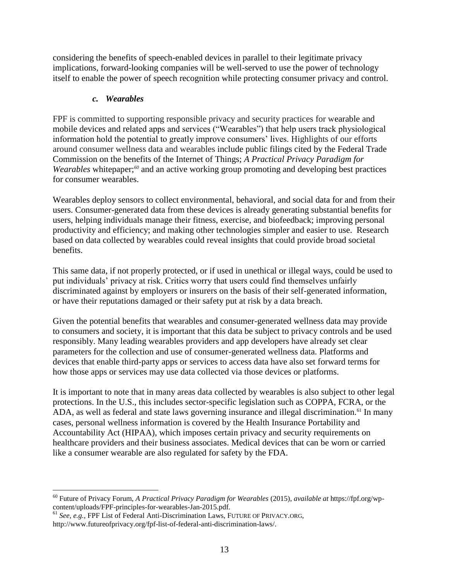considering the benefits of speech-enabled devices in parallel to their legitimate privacy implications, forward-looking companies will be well-served to use the power of technology itself to enable the power of speech recognition while protecting consumer privacy and control.

## *c. Wearables*

FPF is committed to supporting responsible privacy and security practices for wearable and mobile devices and related apps and services ("Wearables") that help users track physiological information hold the potential to greatly improve consumers' lives. Highlights of our efforts around consumer wellness data and wearables include public filings cited by the Federal Trade Commission on the benefits of the Internet of Things; *A Practical Privacy Paradigm for Wearables* whitepaper;*<sup>60</sup>* and an active working group promoting and developing best practices for consumer wearables.

Wearables deploy sensors to collect environmental, behavioral, and social data for and from their users. Consumer-generated data from these devices is already generating substantial benefits for users, helping individuals manage their fitness, exercise, and biofeedback; improving personal productivity and efficiency; and making other technologies simpler and easier to use. Research based on data collected by wearables could reveal insights that could provide broad societal benefits.

This same data, if not properly protected, or if used in unethical or illegal ways, could be used to put individuals' privacy at risk. Critics worry that users could find themselves unfairly discriminated against by employers or insurers on the basis of their self-generated information, or have their reputations damaged or their safety put at risk by a data breach.

Given the potential benefits that wearables and consumer-generated wellness data may provide to consumers and society, it is important that this data be subject to privacy controls and be used responsibly. Many leading wearables providers and app developers have already set clear parameters for the collection and use of consumer-generated wellness data. Platforms and devices that enable third-party apps or services to access data have also set forward terms for how those apps or services may use data collected via those devices or platforms.

It is important to note that in many areas data collected by wearables is also subject to other legal protections. In the U.S., this includes sector-specific legislation such as COPPA, FCRA, or the ADA, as well as federal and state laws governing insurance and illegal discrimination.<sup>61</sup> In many cases, personal wellness information is covered by the Health Insurance Portability and Accountability Act (HIPAA), which imposes certain privacy and security requirements on healthcare providers and their business associates. Medical devices that can be worn or carried like a consumer wearable are also regulated for safety by the FDA.

<sup>60</sup> Future of Privacy Forum, *A Practical Privacy Paradigm for Wearables* (2015), *available at* https://fpf.org/wpcontent/uploads/FPF-principles-for-wearables-Jan-2015.pdf.

<sup>61</sup> *See, e.g.,* FPF List of Federal Anti-Discrimination Laws, FUTURE OF PRIVACY.ORG, [http://www.futureofprivacy.org/fpf-list-of-federal-anti-discrimination-laws/.](http://www.futureofprivacy.org/fpf-list-of-federal-anti-discrimination-laws/)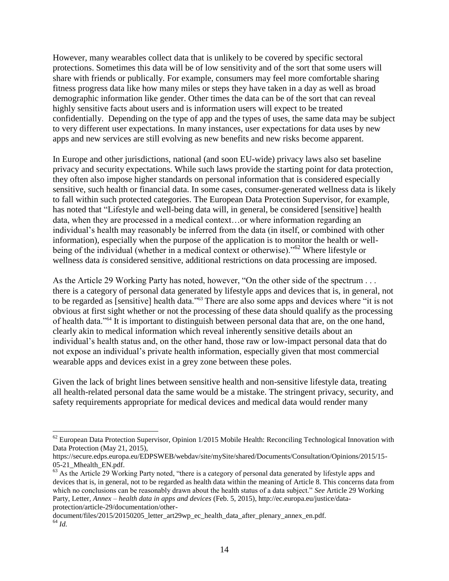However, many wearables collect data that is unlikely to be covered by specific sectoral protections. Sometimes this data will be of low sensitivity and of the sort that some users will share with friends or publically. For example, consumers may feel more comfortable sharing fitness progress data like how many miles or steps they have taken in a day as well as broad demographic information like gender. Other times the data can be of the sort that can reveal highly sensitive facts about users and is information users will expect to be treated confidentially. Depending on the type of app and the types of uses, the same data may be subject to very different user expectations. In many instances, user expectations for data uses by new apps and new services are still evolving as new benefits and new risks become apparent.

In Europe and other jurisdictions, national (and soon EU-wide) privacy laws also set baseline privacy and security expectations. While such laws provide the starting point for data protection, they often also impose higher standards on personal information that is considered especially sensitive, such health or financial data. In some cases, consumer-generated wellness data is likely to fall within such protected categories. The European Data Protection Supervisor, for example, has noted that "Lifestyle and well-being data will, in general, be considered [sensitive] health data, when they are processed in a medical context…or where information regarding an individual's health may reasonably be inferred from the data (in itself, or combined with other information), especially when the purpose of the application is to monitor the health or wellbeing of the individual (whether in a medical context or otherwise)."<sup>62</sup> Where lifestyle or wellness data *is* considered sensitive, additional restrictions on data processing are imposed.

As the Article 29 Working Party has noted, however, "On the other side of the spectrum  $\dots$ there is a category of personal data generated by lifestyle apps and devices that is, in general, not to be regarded as [sensitive] health data."<sup>63</sup> There are also some apps and devices where "it is not obvious at first sight whether or not the processing of these data should qualify as the processing of health data."<sup>64</sup> It is important to distinguish between personal data that are, on the one hand, clearly akin to medical information which reveal inherently sensitive details about an individual's health status and, on the other hand, those raw or low-impact personal data that do not expose an individual's private health information, especially given that most commercial wearable apps and devices exist in a grey zone between these poles.

Given the lack of bright lines between sensitive health and non-sensitive lifestyle data, treating all health-related personal data the same would be a mistake. The stringent privacy, security, and safety requirements appropriate for medical devices and medical data would render many

 $62$  European Data Protection Supervisor, Opinion 1/2015 Mobile Health: Reconciling Technological Innovation with Data Protection (May 21, 2015),

https://secure.edps.europa.eu/EDPSWEB/webdav/site/mySite/shared/Documents/Consultation/Opinions/2015/15- 05-21 Mhealth EN.pdf.

 $63$  As the Article 29 Working Party noted, "there is a category of personal data generated by lifestyle apps and devices that is, in general, not to be regarded as health data within the meaning of Article 8. This concerns data from which no conclusions can be reasonably drawn about the health status of a data subject." *See* Article 29 Working Party, Letter, *Annex – health data in apps and devices* (Feb. 5, 2015), http://ec.europa.eu/justice/dataprotection/article-29/documentation/other-

document/files/2015/20150205 letter art29wp ec health data after plenary annex en.pdf.  $^{64}$  *Id.*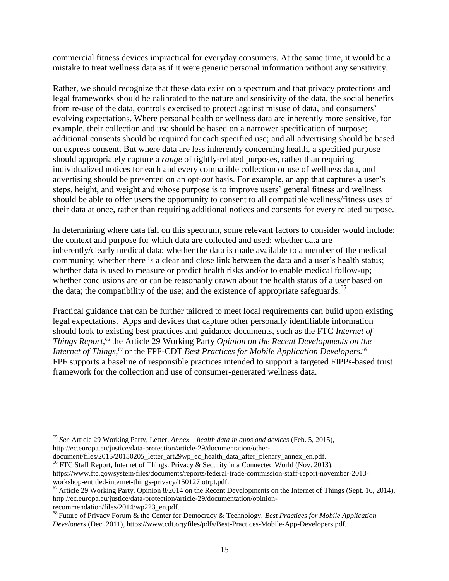commercial fitness devices impractical for everyday consumers. At the same time, it would be a mistake to treat wellness data as if it were generic personal information without any sensitivity.

Rather, we should recognize that these data exist on a spectrum and that privacy protections and legal frameworks should be calibrated to the nature and sensitivity of the data, the social benefits from re-use of the data, controls exercised to protect against misuse of data, and consumers' evolving expectations. Where personal health or wellness data are inherently more sensitive, for example, their collection and use should be based on a narrower specification of purpose; additional consents should be required for each specified use; and all advertising should be based on express consent. But where data are less inherently concerning health, a specified purpose should appropriately capture a *range* of tightly-related purposes, rather than requiring individualized notices for each and every compatible collection or use of wellness data, and advertising should be presented on an opt-*out* basis. For example, an app that captures a user's steps, height, and weight and whose purpose is to improve users' general fitness and wellness should be able to offer users the opportunity to consent to all compatible wellness/fitness uses of their data at once, rather than requiring additional notices and consents for every related purpose.

In determining where data fall on this spectrum, some relevant factors to consider would include: the context and purpose for which data are collected and used; whether data are inherently/clearly medical data; whether the data is made available to a member of the medical community; whether there is a clear and close link between the data and a user's health status; whether data is used to measure or predict health risks and/or to enable medical follow-up; whether conclusions are or can be reasonably drawn about the health status of a user based on the data; the compatibility of the use; and the existence of appropriate safeguards.<sup>65</sup>

Practical guidance that can be further tailored to meet local requirements can build upon existing legal expectations. Apps and devices that capture other personally identifiable information should look to existing best practices and guidance documents, such as the FTC *Internet of Things Report*, <sup>66</sup> the Article 29 Working Party *Opinion on the Recent Developments on the Internet of Things*,<sup>67</sup> or the FPF-CDT *Best Practices for Mobile Application Developers.*<sup>68</sup> FPF supports a baseline of responsible practices intended to support a targeted FIPPs-based trust framework for the collection and use of consumer-generated wellness data.

<sup>65</sup> *See* Article 29 Working Party, Letter, *Annex – health data in apps and devices* (Feb. 5, 2015), http://ec.europa.eu/justice/data-protection/article-29/documentation/other-

document/files/2015/20150205\_letter\_art29wp\_ec\_health\_data\_after\_plenary\_annex\_en.pdf.

<sup>&</sup>lt;sup>66</sup> FTC Staff Report, Internet of Things: Privacy & Security in a Connected World (Nov. 2013),

[https://www.ftc.gov/system/files/documents/reports/federal-trade-commission-staff-report-november-2013](https://www.ftc.gov/system/files/documents/reports/federal-trade-commission-staff-report-november-2013-workshop-entitled-internet-things-privacy/150127iotrpt.pdf) [workshop-entitled-internet-things-privacy/150127iotrpt.pdf.](https://www.ftc.gov/system/files/documents/reports/federal-trade-commission-staff-report-november-2013-workshop-entitled-internet-things-privacy/150127iotrpt.pdf)

 $67$  Article 29 Working Party, Opinion 8/2014 on the Recent Developments on the Internet of Things (Sept. 16, 2014), [http://ec.europa.eu/justice/data-protection/article-29/documentation/opinion](http://ec.europa.eu/justice/data-protection/article-29/documentation/opinion-recommendation/files/2014/wp223_en.pdf)[recommendation/files/2014/wp223\\_en.pdf.](http://ec.europa.eu/justice/data-protection/article-29/documentation/opinion-recommendation/files/2014/wp223_en.pdf)

<sup>68</sup> Future of Privacy Forum & the Center for Democracy & Technology, *Best Practices for Mobile Application Developers* (Dec. 2011), https://www.cdt.org/files/pdfs/Best-Practices-Mobile-App-Developers.pdf.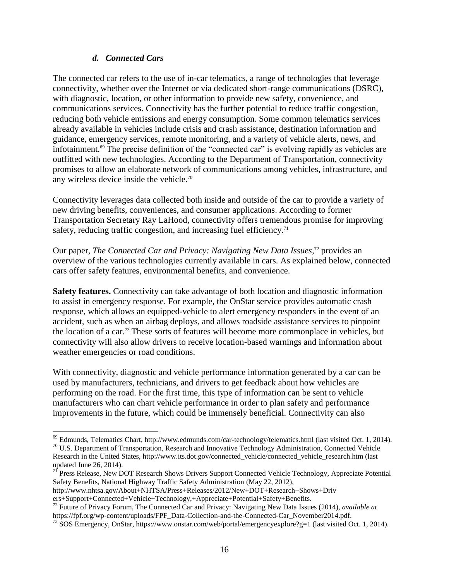### *d. Connected Cars*

The connected car refers to the use of in-car telematics, a range of technologies that leverage connectivity, whether over the Internet or via dedicated short-range communications (DSRC), with diagnostic, location, or other information to provide new safety, convenience, and communications services. Connectivity has the further potential to reduce traffic congestion, reducing both vehicle emissions and energy consumption. Some common telematics services already available in vehicles include crisis and crash assistance, destination information and guidance, emergency services, remote monitoring, and a variety of vehicle alerts, news, and infotainment.<sup>69</sup> The precise definition of the "connected car" is evolving rapidly as vehicles are outfitted with new technologies. According to the Department of Transportation, connectivity promises to allow an elaborate network of communications among vehicles, infrastructure, and any wireless device inside the vehicle.<sup>70</sup>

Connectivity leverages data collected both inside and outside of the car to provide a variety of new driving benefits, conveniences, and consumer applications. According to former Transportation Secretary Ray LaHood, connectivity offers tremendous promise for improving safety, reducing traffic congestion, and increasing fuel efficiency.<sup>71</sup>

Our paper, *The Connected Car and Privacy: Navigating New Data Issues*,<sup>72</sup> provides an overview of the various technologies currently available in cars. As explained below, connected cars offer safety features, environmental benefits, and convenience.

**Safety features.** Connectivity can take advantage of both location and diagnostic information to assist in emergency response. For example, the OnStar service provides automatic crash response, which allows an equipped-vehicle to alert emergency responders in the event of an accident, such as when an airbag deploys, and allows roadside assistance services to pinpoint the location of a car.<sup>73</sup> These sorts of features will become more commonplace in vehicles, but connectivity will also allow drivers to receive location-based warnings and information about weather emergencies or road conditions.

With connectivity, diagnostic and vehicle performance information generated by a car can be used by manufacturers, technicians, and drivers to get feedback about how vehicles are performing on the road. For the first time, this type of information can be sent to vehicle manufacturers who can chart vehicle performance in order to plan safety and performance improvements in the future, which could be immensely beneficial. Connectivity can also

 $^{69}$  Edmunds, Telematics Chart, http://www.edmunds.com/car-technology/telematics.html (last visited Oct. 1, 2014).

<sup>&</sup>lt;sup>70</sup> U.S. Department of Transportation, Research and Innovative Technology Administration, Connected Vehicle Research in the United States, http://www.its.dot.gov/connected\_vehicle/connected\_vehicle\_research.htm (last updated June 26, 2014).

<sup>&</sup>lt;sup>71</sup> Press Release, New DOT Research Shows Drivers Support Connected Vehicle Technology, Appreciate Potential Safety Benefits, National Highway Traffic Safety Administration (May 22, 2012),

http://www.nhtsa.gov/About+NHTSA/Press+Releases/2012/New+DOT+Research+Shows+Driv

ers+Support+Connected+Vehicle+Technology,+Appreciate+Potential+Safety+Benefits.

<sup>72</sup> Future of Privacy Forum, The Connected Car and Privacy: Navigating New Data Issues (2014), *available at*  https://fpf.org/wp-content/uploads/FPF\_Data-Collection-and-the-Connected-Car\_November2014.pdf.

<sup>73</sup> SOS Emergency, OnStar, https://www.onstar.com/web/portal/emergencyexplore?g=1 (last visited Oct. 1, 2014).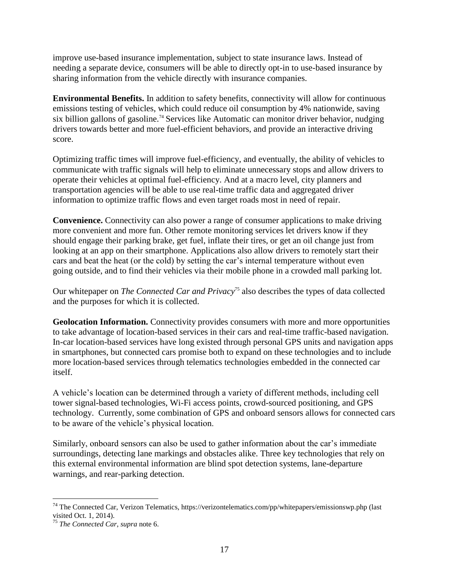improve use-based insurance implementation, subject to state insurance laws. Instead of needing a separate device, consumers will be able to directly opt-in to use-based insurance by sharing information from the vehicle directly with insurance companies.

**Environmental Benefits.** In addition to safety benefits, connectivity will allow for continuous emissions testing of vehicles, which could reduce oil consumption by 4% nationwide, saving six billion gallons of gasoline.<sup>74</sup> Services like Automatic can monitor driver behavior, nudging drivers towards better and more fuel-efficient behaviors, and provide an interactive driving score.

Optimizing traffic times will improve fuel-efficiency, and eventually, the ability of vehicles to communicate with traffic signals will help to eliminate unnecessary stops and allow drivers to operate their vehicles at optimal fuel-efficiency. And at a macro level, city planners and transportation agencies will be able to use real-time traffic data and aggregated driver information to optimize traffic flows and even target roads most in need of repair.

**Convenience.** Connectivity can also power a range of consumer applications to make driving more convenient and more fun. Other remote monitoring services let drivers know if they should engage their parking brake, get fuel, inflate their tires, or get an oil change just from looking at an app on their smartphone. Applications also allow drivers to remotely start their cars and beat the heat (or the cold) by setting the car's internal temperature without even going outside, and to find their vehicles via their mobile phone in a crowded mall parking lot.

Our whitepaper on *The Connected Car and Privacy*<sup>75</sup> also describes the types of data collected and the purposes for which it is collected.

**Geolocation Information.** Connectivity provides consumers with more and more opportunities to take advantage of location-based services in their cars and real-time traffic-based navigation. In-car location-based services have long existed through personal GPS units and navigation apps in smartphones, but connected cars promise both to expand on these technologies and to include more location-based services through telematics technologies embedded in the connected car itself.

A vehicle's location can be determined through a variety of different methods, including cell tower signal-based technologies, Wi-Fi access points, crowd-sourced positioning, and GPS technology. Currently, some combination of GPS and onboard sensors allows for connected cars to be aware of the vehicle's physical location.

Similarly, onboard sensors can also be used to gather information about the car's immediate surroundings, detecting lane markings and obstacles alike. Three key technologies that rely on this external environmental information are blind spot detection systems, lane-departure warnings, and rear-parking detection.

 $\overline{a}$ <sup>74</sup> The Connected Car, Verizon Telematics, https://verizontelematics.com/pp/whitepapers/emissionswp.php (last visited Oct.  $1, 2014$ ).

<sup>75</sup> *The Connected Car*, *supra* note 6.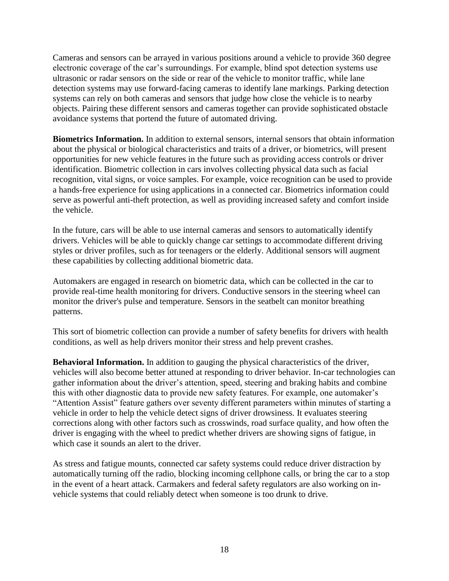Cameras and sensors can be arrayed in various positions around a vehicle to provide 360 degree electronic coverage of the car's surroundings. For example, blind spot detection systems use ultrasonic or radar sensors on the side or rear of the vehicle to monitor traffic, while lane detection systems may use forward-facing cameras to identify lane markings. Parking detection systems can rely on both cameras and sensors that judge how close the vehicle is to nearby objects. Pairing these different sensors and cameras together can provide sophisticated obstacle avoidance systems that portend the future of automated driving.

**Biometrics Information.** In addition to external sensors, internal sensors that obtain information about the physical or biological characteristics and traits of a driver, or biometrics, will present opportunities for new vehicle features in the future such as providing access controls or driver identification. Biometric collection in cars involves collecting physical data such as facial recognition, vital signs, or voice samples. For example, voice recognition can be used to provide a hands-free experience for using applications in a connected car. Biometrics information could serve as powerful anti-theft protection, as well as providing increased safety and comfort inside the vehicle.

In the future, cars will be able to use internal cameras and sensors to automatically identify drivers. Vehicles will be able to quickly change car settings to accommodate different driving styles or driver profiles, such as for teenagers or the elderly. Additional sensors will augment these capabilities by collecting additional biometric data.

Automakers are engaged in research on biometric data, which can be collected in the car to provide real-time health monitoring for drivers. Conductive sensors in the steering wheel can monitor the driver's pulse and temperature. Sensors in the seatbelt can monitor breathing patterns.

This sort of biometric collection can provide a number of safety benefits for drivers with health conditions, as well as help drivers monitor their stress and help prevent crashes.

**Behavioral Information.** In addition to gauging the physical characteristics of the driver, vehicles will also become better attuned at responding to driver behavior. In-car technologies can gather information about the driver's attention, speed, steering and braking habits and combine this with other diagnostic data to provide new safety features. For example, one automaker's "Attention Assist" feature gathers over seventy different parameters within minutes of starting a vehicle in order to help the vehicle detect signs of driver drowsiness. It evaluates steering corrections along with other factors such as crosswinds, road surface quality, and how often the driver is engaging with the wheel to predict whether drivers are showing signs of fatigue, in which case it sounds an alert to the driver.

As stress and fatigue mounts, connected car safety systems could reduce driver distraction by automatically turning off the radio, blocking incoming cellphone calls, or bring the car to a stop in the event of a heart attack. Carmakers and federal safety regulators are also working on invehicle systems that could reliably detect when someone is too drunk to drive.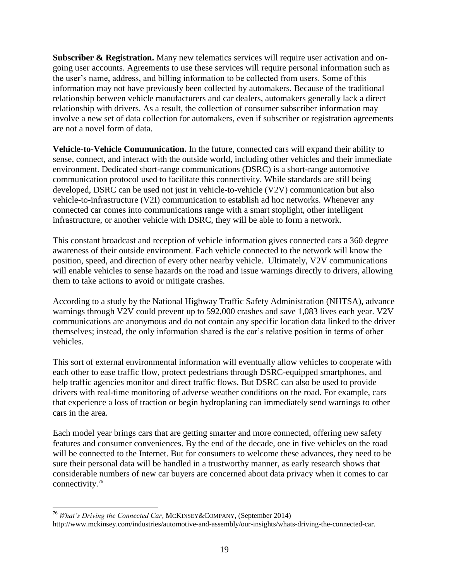**Subscriber & Registration.** Many new telematics services will require user activation and ongoing user accounts. Agreements to use these services will require personal information such as the user's name, address, and billing information to be collected from users. Some of this information may not have previously been collected by automakers. Because of the traditional relationship between vehicle manufacturers and car dealers, automakers generally lack a direct relationship with drivers. As a result, the collection of consumer subscriber information may involve a new set of data collection for automakers, even if subscriber or registration agreements are not a novel form of data.

**Vehicle-to-Vehicle Communication.** In the future, connected cars will expand their ability to sense, connect, and interact with the outside world, including other vehicles and their immediate environment. Dedicated short-range communications (DSRC) is a short-range automotive communication protocol used to facilitate this connectivity. While standards are still being developed, DSRC can be used not just in vehicle-to-vehicle (V2V) communication but also vehicle-to-infrastructure (V2I) communication to establish ad hoc networks. Whenever any connected car comes into communications range with a smart stoplight, other intelligent infrastructure, or another vehicle with DSRC, they will be able to form a network.

This constant broadcast and reception of vehicle information gives connected cars a 360 degree awareness of their outside environment. Each vehicle connected to the network will know the position, speed, and direction of every other nearby vehicle. Ultimately, V2V communications will enable vehicles to sense hazards on the road and issue warnings directly to drivers, allowing them to take actions to avoid or mitigate crashes.

According to a study by the National Highway Traffic Safety Administration (NHTSA), advance warnings through V2V could prevent up to 592,000 crashes and save 1,083 lives each year. V2V communications are anonymous and do not contain any specific location data linked to the driver themselves; instead, the only information shared is the car's relative position in terms of other vehicles.

This sort of external environmental information will eventually allow vehicles to cooperate with each other to ease traffic flow, protect pedestrians through DSRC-equipped smartphones, and help traffic agencies monitor and direct traffic flows. But DSRC can also be used to provide drivers with real-time monitoring of adverse weather conditions on the road. For example, cars that experience a loss of traction or begin hydroplaning can immediately send warnings to other cars in the area.

Each model year brings cars that are getting smarter and more connected, offering new safety features and consumer conveniences. By the end of the decade, one in five vehicles on the road will be connected to the Internet. But for consumers to welcome these advances, they need to be sure their personal data will be handled in a trustworthy manner, as early research shows that considerable numbers of new car buyers are [concerned about data privacy](http://www.mckinsey.com/insights/manufacturing/whats_driving_the_connected_car) when it comes to car connectivity.<sup>76</sup>

<sup>76</sup> *What's Driving the Connected Car*, MCKINSEY&COMPANY, (September 2014) http://www.mckinsey.com/industries/automotive-and-assembly/our-insights/whats-driving-the-connected-car.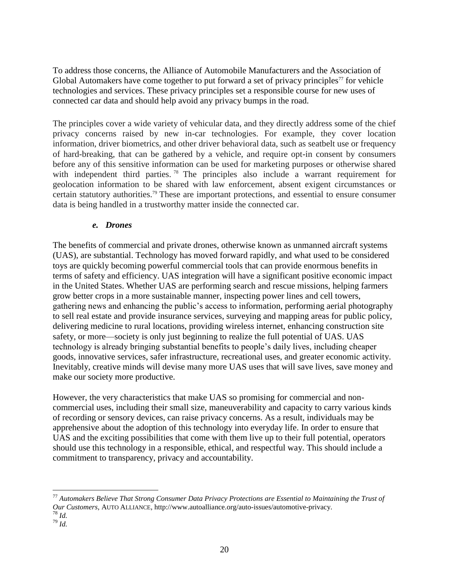To address those concerns, the [Alliance of Automobile Manufacturers](http://www.autoalliance.org/) and the [Association of](http://www.globalautomakers.org/)  [Global Automakers](http://www.globalautomakers.org/) have come together to put forward a set of privacy principles<sup>77</sup> for vehicle technologies and services. These privacy principles set a responsible course for new uses of connected car data and should help avoid any privacy bumps in the road.

The principles cover a wide variety of vehicular data, and they directly address some of the chief privacy concerns raised by new in-car technologies. For example, they cover location information, driver biometrics, and other driver behavioral data, such as seatbelt use or frequency of hard-breaking, that can be gathered by a vehicle, and require opt-in consent by consumers before any of this sensitive information can be used for marketing purposes or otherwise shared with independent third parties.<sup>78</sup> The principles also include a warrant requirement for geolocation information to be shared with law enforcement, absent exigent circumstances or certain statutory authorities.<sup>79</sup> These are important protections, and essential to ensure consumer data is being handled in a trustworthy matter inside the connected car.

#### *e. Drones*

The benefits of commercial and private drones, otherwise known as unmanned aircraft systems (UAS), are substantial. Technology has moved forward rapidly, and what used to be considered toys are quickly becoming powerful commercial tools that can provide enormous benefits in terms of safety and efficiency. UAS integration will have a significant positive economic impact in the United States. Whether UAS are performing search and rescue missions, helping farmers grow better crops in a more sustainable manner, inspecting power lines and cell towers, gathering news and enhancing the public's access to information, performing aerial photography to sell real estate and provide insurance services, surveying and mapping areas for public policy, delivering medicine to rural locations, providing wireless internet, enhancing construction site safety, or more—society is only just beginning to realize the full potential of UAS. UAS technology is already bringing substantial benefits to people's daily lives, including cheaper goods, innovative services, safer infrastructure, recreational uses, and greater economic activity. Inevitably, creative minds will devise many more UAS uses that will save lives, save money and make our society more productive.

However, the very characteristics that make UAS so promising for commercial and noncommercial uses, including their small size, maneuverability and capacity to carry various kinds of recording or sensory devices, can raise privacy concerns. As a result, individuals may be apprehensive about the adoption of this technology into everyday life. In order to ensure that UAS and the exciting possibilities that come with them live up to their full potential, operators should use this technology in a responsible, ethical, and respectful way. This should include a commitment to transparency, privacy and accountability.

<sup>77</sup> *Automakers Believe That Strong Consumer Data Privacy Protections are Essential to Maintaining the Trust of Our Customers*, AUTO ALLIANCE[, http://www.autoalliance.org/auto-issues/automotive-privacy.](http://www.autoalliance.org/auto-issues/automotive-privacy) <sup>78</sup> *Id.*

<sup>79</sup> *Id.*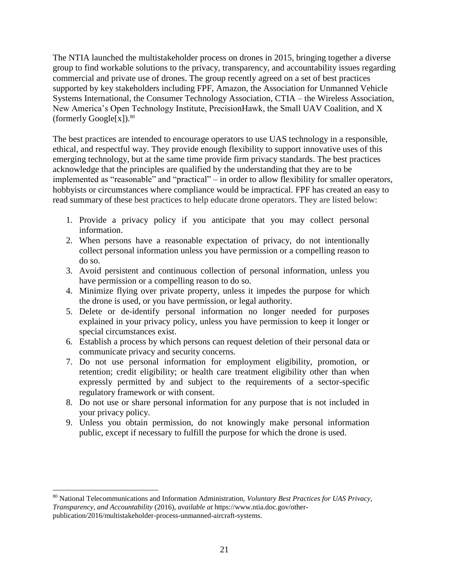The NTIA launched the multistakeholder process on drones in 2015, bringing together a diverse group to find workable solutions to the privacy, transparency, and accountability issues regarding commercial and private use of drones. The group recently agreed on a set of best practices supported by key stakeholders including FPF, Amazon, the Association for Unmanned Vehicle Systems International, the Consumer Technology Association, CTIA – the Wireless Association, New America's Open Technology Institute, PrecisionHawk, the Small UAV Coalition, and X (formerly  $Google[x]$ ).<sup>80</sup>

The best practices are intended to encourage operators to use UAS technology in a responsible, ethical, and respectful way. They provide enough flexibility to support innovative uses of this emerging technology, but at the same time provide firm privacy standards. The best practices acknowledge that the principles are qualified by the understanding that they are to be implemented as "reasonable" and "practical" – in order to allow flexibility for smaller operators, hobbyists or circumstances where compliance would be impractical. FPF has created an easy to read summary of these best practices to help educate drone operators. They are listed below:

- 1. Provide a privacy policy if you anticipate that you may collect personal information.
- 2. When persons have a reasonable expectation of privacy, do not intentionally collect personal information unless you have permission or a compelling reason to do so.
- 3. Avoid persistent and continuous collection of personal information, unless you have permission or a compelling reason to do so.
- 4. Minimize flying over private property, unless it impedes the purpose for which the drone is used, or you have permission, or legal authority.
- 5. Delete or de-identify personal information no longer needed for purposes explained in your privacy policy, unless you have permission to keep it longer or special circumstances exist.
- 6. Establish a process by which persons can request deletion of their personal data or communicate privacy and security concerns.
- 7. Do not use personal information for employment eligibility, promotion, or retention; credit eligibility; or health care treatment eligibility other than when expressly permitted by and subject to the requirements of a sector-specific regulatory framework or with consent.
- 8. Do not use or share personal information for any purpose that is not included in your privacy policy.
- 9. Unless you obtain permission, do not knowingly make personal information public, except if necessary to fulfill the purpose for which the drone is used.

<sup>80</sup> National Telecommunications and Information Administration, *Voluntary Best Practices for UAS Privacy, Transparency, and Accountability* (2016), *available at* https://www.ntia.doc.gov/otherpublication/2016/multistakeholder-process-unmanned-aircraft-systems.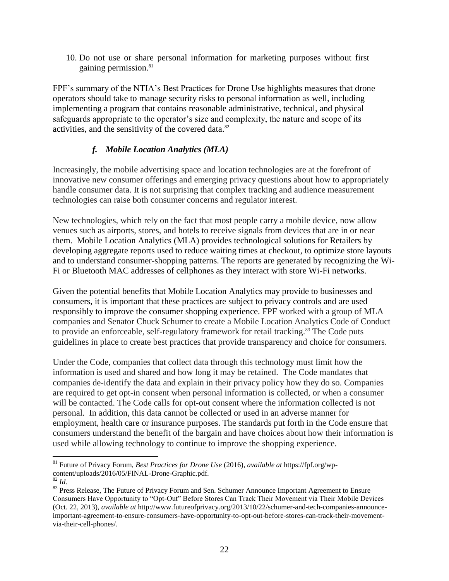10. Do not use or share personal information for marketing purposes without first gaining permission.<sup>81</sup>

FPF's summary of the NTIA's Best Practices for Drone Use highlights measures that drone operators should take to manage security risks to personal information as well, including implementing a program that contains reasonable administrative, technical, and physical safeguards appropriate to the operator's size and complexity, the nature and scope of its activities, and the sensitivity of the covered data.<sup>82</sup>

# *f. Mobile Location Analytics (MLA)*

Increasingly, the mobile advertising space and location technologies are at the forefront of innovative new consumer offerings and emerging privacy questions about how to appropriately handle consumer data. It is not surprising that complex tracking and audience measurement technologies can raise both consumer concerns and regulator interest.

New technologies, which rely on the fact that most people carry a mobile device, now allow venues such as airports, stores, and hotels to receive signals from devices that are in or near them. Mobile Location Analytics (MLA) provides technological solutions for Retailers by developing aggregate reports used to reduce waiting times at checkout, to optimize store layouts and to understand consumer-shopping patterns. The reports are generated by recognizing the Wi-Fi or Bluetooth MAC addresses of cellphones as they interact with store Wi-Fi networks.

Given the potential benefits that Mobile Location Analytics may provide to businesses and consumers, it is important that these practices are subject to privacy controls and are used responsibly to improve the consumer shopping experience. FPF worked with a group of MLA companies and Senator Chuck Schumer to create a Mobile Location Analytics Code of Conduct to provide an enforceable, self-regulatory framework for retail tracking.<sup>83</sup> The Code puts guidelines in place to create best practices that provide transparency and choice for consumers.

Under the Code, companies that collect data through this technology must limit how the information is used and shared and how long it may be retained. The Code mandates that companies de-identify the data and explain in their privacy policy how they do so. Companies are required to get opt-in consent when personal information is collected, or when a consumer will be contacted. The Code calls for opt-out consent where the information collected is not personal. In addition, this data cannot be collected or used in an adverse manner for employment, health care or insurance purposes. The standards put forth in the Code ensure that consumers understand the benefit of the bargain and have choices about how their information is used while allowing technology to continue to improve the shopping experience.

<sup>81</sup> Future of Privacy Forum, *Best Practices for Drone Use* (2016), *available at* https://fpf.org/wpcontent/uploads/2016/05/FINAL-Drone-Graphic.pdf.

<sup>82</sup> *Id.*

<sup>&</sup>lt;sup>83</sup> Press Release, The Future of Privacy Forum and Sen. Schumer Announce Important Agreement to Ensure Consumers Have Opportunity to "Opt-Out" Before Stores Can Track Their Movement via Their Mobile Devices (Oct. 22, 2013), *available at* http://www.futureofprivacy.org/2013/10/22/schumer-and-tech-companies-announceimportant-agreement-to-ensure-consumers-have-opportunity-to-opt-out-before-stores-can-track-their-movementvia-their-cell-phones/.